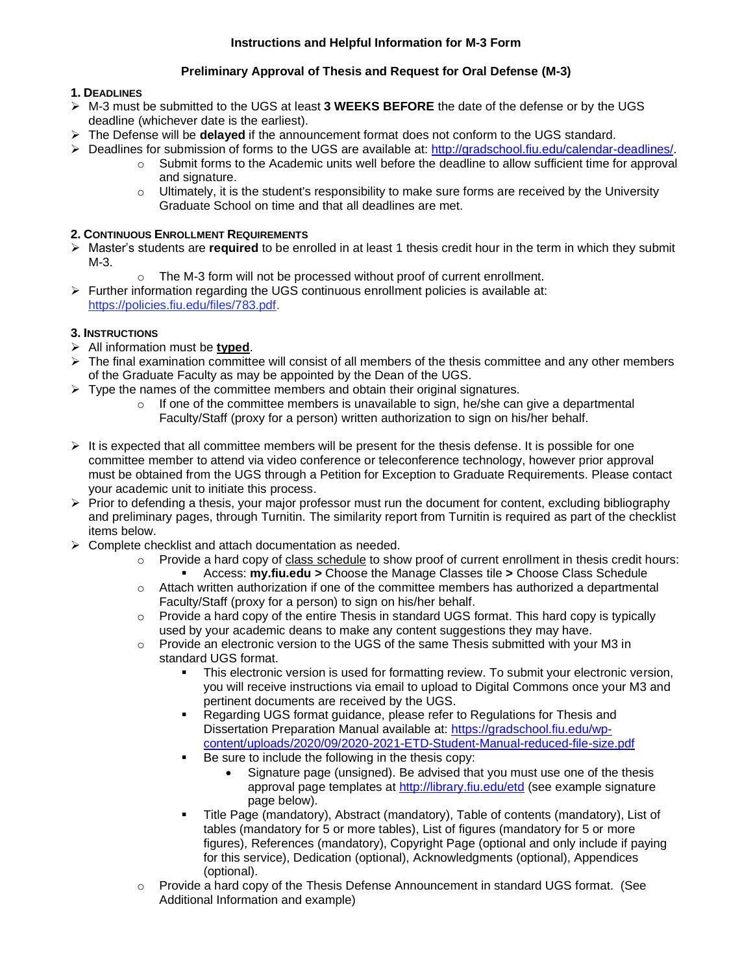# **Preliminary Approval of Thesis and Request for Oral Defense (M-3)**

# **1. DEADLINES**

- ➢ M-3 must be submitted to the UGS at least **3 WEEKS BEFORE** the date of the defense or by the UGS deadline (whichever date is the earliest).
- ➢ The Defense will be **delayed** if the announcement format does not conform to the UGS standard.
- ➢ Deadlines for submission of forms to the UGS are available at: [http://gradschool.fiu.edu/calendar-deadlines/.](http://gradschool.fiu.edu/calendar-deadlines/)
	- o Submit forms to the Academic units well before the deadline to allow sufficient time for approval and signature.
	- $\circ$  Ultimately, it is the student's responsibility to make sure forms are received by the University Graduate School on time and that all deadlines are met.

## **2. CONTINUOUS ENROLLMENT REQUIREMENTS**

- ➢ Master's students are **required** to be enrolled in at least 1 thesis credit hour in the term in which they submit M-3.
	- o The M-3 form will not be processed without proof of current enrollment.
- $\triangleright$  Further information regarding the UGS continuous enrollment policies is available at: [https://policies.fiu.edu/files/783.pdf.](https://policies.fiu.edu/files/783.pdf)

# **3. INSTRUCTIONS**

- ➢ All information must be **typed**.
- $\triangleright$  The final examination committee will consist of all members of the thesis committee and any other members of the Graduate Faculty as may be appointed by the Dean of the UGS.
- $\triangleright$  Type the names of the committee members and obtain their original signatures.
	- $\circ$  If one of the committee members is unavailable to sign, he/she can give a departmental Faculty/Staff (proxy for a person) written authorization to sign on his/her behalf.
- $\triangleright$  It is expected that all committee members will be present for the thesis defense. It is possible for one committee member to attend via video conference or teleconference technology, however prior approval must be obtained from the UGS through a Petition for Exception to Graduate Requirements. Please contact your academic unit to initiate this process.
- $\triangleright$  Prior to defending a thesis, your major professor must run the document for content, excluding bibliography and preliminary pages, through Turnitin. The similarity report from Turnitin is required as part of the checklist items below.
- ➢ Complete checklist and attach documentation as needed.
	- o Provide a hard copy of class schedule to show proof of current enrollment in thesis credit hours: ▪ Access: **my.fiu.edu >** Choose the Manage Classes tile **>** Choose Class Schedule
	- $\circ$  Attach written authorization if one of the committee members has authorized a departmental Faculty/Staff (proxy for a person) to sign on his/her behalf.
	- $\circ$  Provide a hard copy of the entire Thesis in standard UGS format. This hard copy is typically used by your academic deans to make any content suggestions they may have.
	- $\circ$  Provide an electronic version to the UGS of the same Thesis submitted with your M3 in standard UGS format.
		- This electronic version is used for formatting review. To submit your electronic version, you will receive instructions via email to upload to Digital Commons once your M3 and pertinent documents are received by the UGS.
		- Regarding UGS format guidance, please refer to Regulations for Thesis and Dissertation Preparation Manual available at: [https://gradschool.fiu.edu/wp](https://gradschool.fiu.edu/wp-content/uploads/2020/09/2020-2021-ETD-Student-Manual-reduced-file-size.pdf)[content/uploads/2020/09/2020-2021-ETD-Student-Manual-reduced-file-size.pdf](https://gradschool.fiu.edu/wp-content/uploads/2020/09/2020-2021-ETD-Student-Manual-reduced-file-size.pdf)
		- Be sure to include the following in the thesis copy:
			- Signature page (unsigned). Be advised that you must use one of the thesis approval page templates at<http://library.fiu.edu/etd> (see example signature page below).
		- Title Page (mandatory), Abstract (mandatory), Table of contents (mandatory), List of tables (mandatory for 5 or more tables), List of figures (mandatory for 5 or more figures), References (mandatory), Copyright Page (optional and only include if paying for this service), Dedication (optional), Acknowledgments (optional), Appendices (optional).
	- $\circ$  Provide a hard copy of the Thesis Defense Announcement in standard UGS format. (See Additional Information and example)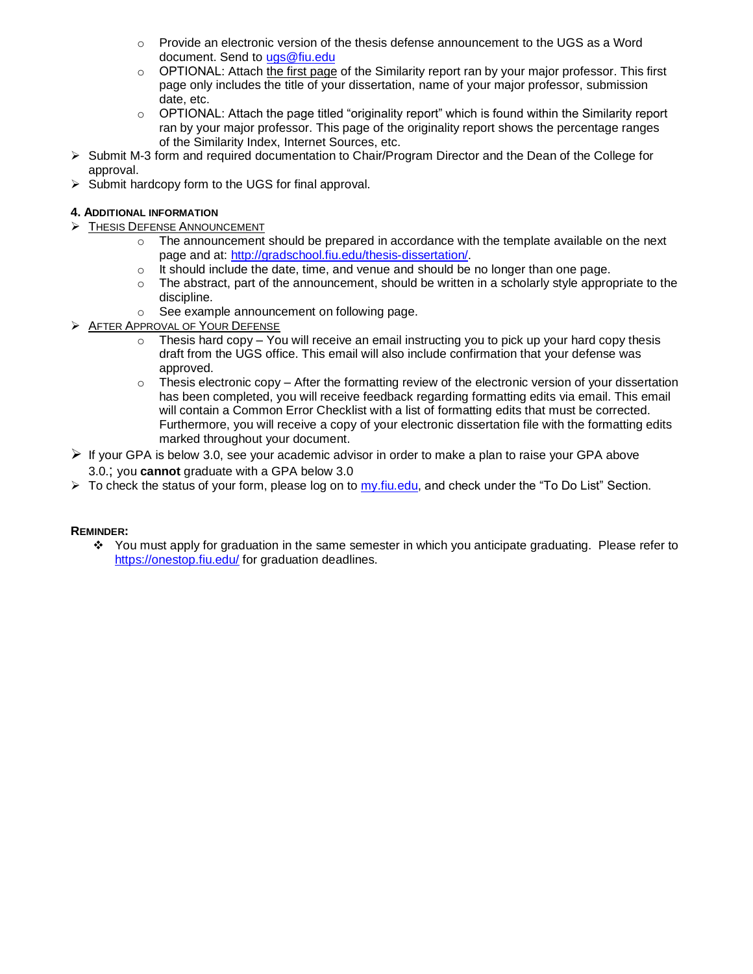- $\circ$  Provide an electronic version of the thesis defense announcement to the UGS as a Word document. Send to [ugs@fiu.edu](mailto:ugs@fiu.edu)
- $\circ$  OPTIONAL: Attach the first page of the Similarity report ran by your major professor. This first page only includes the title of your dissertation, name of your major professor, submission date, etc.
- $\circ$  OPTIONAL: Attach the page titled "originality report" which is found within the Similarity report ran by your major professor. This page of the originality report shows the percentage ranges of the Similarity Index, Internet Sources, etc.
- ➢ Submit M-3 form and required documentation to Chair/Program Director and the Dean of the College for approval.
- ➢ Submit hardcopy form to the UGS for final approval.

## **4. ADDITIONAL INFORMATION**

- ➢ THESIS DEFENSE ANNOUNCEMENT
	- $\circ$  The announcement should be prepared in accordance with the template available on the next page and at: [http://gradschool.fiu.edu/thesis-dissertation/.](http://gradschool.fiu.edu/thesis-dissertation/)
	- $\circ$  It should include the date, time, and venue and should be no longer than one page.
	- $\circ$  The abstract, part of the announcement, should be written in a scholarly style appropriate to the discipline.
	- o See example announcement on following page.
- ➢ AFTER APPROVAL OF YOUR DEFENSE
	- Thesis hard copy You will receive an email instructing you to pick up your hard copy thesis draft from the UGS office. This email will also include confirmation that your defense was approved.
	- $\circ$  Thesis electronic copy After the formatting review of the electronic version of your dissertation has been completed, you will receive feedback regarding formatting edits via email. This email will contain a Common Error Checklist with a list of formatting edits that must be corrected. Furthermore, you will receive a copy of your electronic dissertation file with the formatting edits marked throughout your document.
- $\triangleright$  If your GPA is below 3.0, see your academic advisor in order to make a plan to raise your GPA above 3.0.; you **cannot** graduate with a GPA below 3.0
- $\triangleright$  To check the status of your form, please log on to [my.fiu.edu,](http://my.fiu.edu/) and check under the "To Do List" Section.

## **REMINDER:**

❖ You must apply for graduation in the same semester in which you anticipate graduating. Please refer to <https://onestop.fiu.edu/> for graduation deadlines.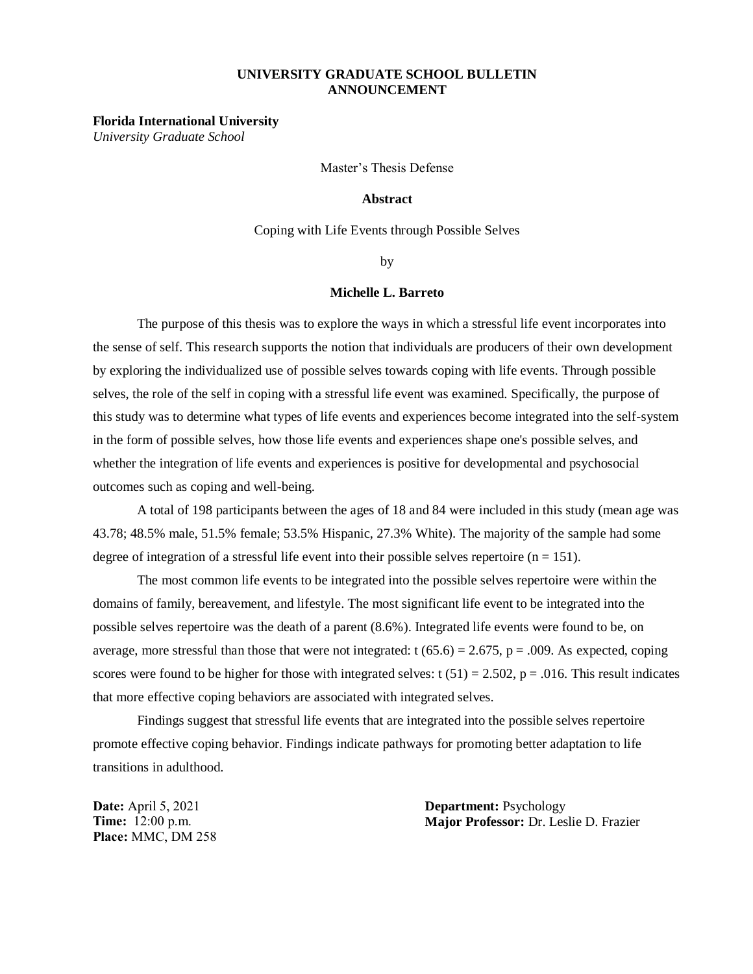## **UNIVERSITY GRADUATE SCHOOL BULLETIN ANNOUNCEMENT**

#### **Florida International University**

*University Graduate School*

Master's Thesis Defense

#### **Abstract**

Coping with Life Events through Possible Selves

by

### **Michelle L. Barreto**

The purpose of this thesis was to explore the ways in which a stressful life event incorporates into the sense of self. This research supports the notion that individuals are producers of their own development by exploring the individualized use of possible selves towards coping with life events. Through possible selves, the role of the self in coping with a stressful life event was examined. Specifically, the purpose of this study was to determine what types of life events and experiences become integrated into the self-system in the form of possible selves, how those life events and experiences shape one's possible selves, and whether the integration of life events and experiences is positive for developmental and psychosocial outcomes such as coping and well-being.

A total of 198 participants between the ages of 18 and 84 were included in this study (mean age was 43.78; 48.5% male, 51.5% female; 53.5% Hispanic, 27.3% White). The majority of the sample had some degree of integration of a stressful life event into their possible selves repertoire  $(n = 151)$ .

The most common life events to be integrated into the possible selves repertoire were within the domains of family, bereavement, and lifestyle. The most significant life event to be integrated into the possible selves repertoire was the death of a parent (8.6%). Integrated life events were found to be, on average, more stressful than those that were not integrated:  $t (65.6) = 2.675$ ,  $p = .009$ . As expected, coping scores were found to be higher for those with integrated selves:  $t(51) = 2.502$ ,  $p = .016$ . This result indicates that more effective coping behaviors are associated with integrated selves.

Findings suggest that stressful life events that are integrated into the possible selves repertoire promote effective coping behavior. Findings indicate pathways for promoting better adaptation to life transitions in adulthood.

**Date:** April 5, 2021 **Time:** 12:00 p.m. **Place:** MMC, DM 258 **Department:** Psychology **Major Professor:** Dr. Leslie D. Frazier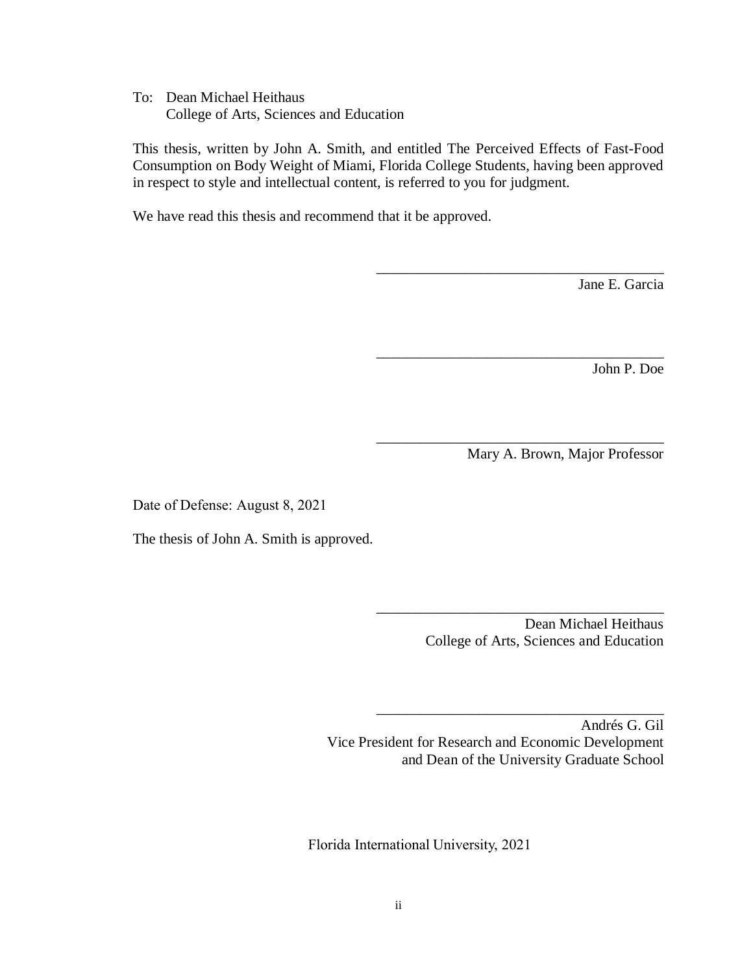To: Dean Michael Heithaus College of Arts, Sciences and Education

This thesis, written by John A. Smith, and entitled The Perceived Effects of Fast-Food Consumption on Body Weight of Miami, Florida College Students, having been approved in respect to style and intellectual content, is referred to you for judgment.

We have read this thesis and recommend that it be approved.

Jane E. Garcia

John P. Doe

Mary A. Brown, Major Professor

\_\_\_\_\_\_\_\_\_\_\_\_\_\_\_\_\_\_\_\_\_\_\_\_\_\_\_\_\_\_\_\_\_\_\_\_\_\_\_

\_\_\_\_\_\_\_\_\_\_\_\_\_\_\_\_\_\_\_\_\_\_\_\_\_\_\_\_\_\_\_\_\_\_\_\_\_\_\_

\_\_\_\_\_\_\_\_\_\_\_\_\_\_\_\_\_\_\_\_\_\_\_\_\_\_\_\_\_\_\_\_\_\_\_\_\_\_\_

Date of Defense: August 8, 2021

The thesis of John A. Smith is approved.

Dean Michael Heithaus College of Arts, Sciences and Education

\_\_\_\_\_\_\_\_\_\_\_\_\_\_\_\_\_\_\_\_\_\_\_\_\_\_\_\_\_\_\_\_\_\_\_\_\_\_\_

\_\_\_\_\_\_\_\_\_\_\_\_\_\_\_\_\_\_\_\_\_\_\_\_\_\_\_\_\_\_\_\_\_\_\_\_\_\_\_

Andrés G. Gil Vice President for Research and Economic Development and Dean of the University Graduate School

Florida International University, 2021